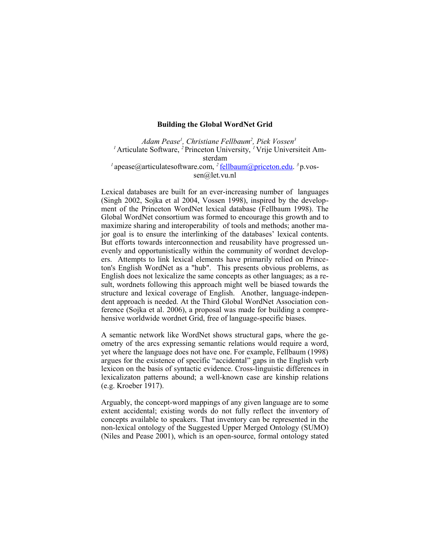## **Building the Global WordNet Grid**

*Adam Pease<sup>1</sup> , Christiane Fellbaum<sup>2</sup> , Piek Vossen<sup>3</sup> 1* Articulate Software, *2* Princeton University, *1* Vrije Universiteit Amsterdam <sup>*1*</sup>apease@articulatesoftware.com, <sup>2</sup>[fellbaum@priceton.edu.](mailto:fellbaum@priceton.edu) <sup>3</sup> p.vossen@let.vu.nl

Lexical databases are built for an ever-increasing number of languages (Singh 2002, Sojka et al 2004, Vossen 1998), inspired by the development of the Princeton WordNet lexical database (Fellbaum 1998). The Global WordNet consortium was formed to encourage this growth and to maximize sharing and interoperability of tools and methods; another major goal is to ensure the interlinking of the databases' lexical contents. But efforts towards interconnection and reusability have progressed unevenly and opportunistically within the community of wordnet developers. Attempts to link lexical elements have primarily relied on Princeton's English WordNet as a "hub". This presents obvious problems, as English does not lexicalize the same concepts as other languages; as a result, wordnets following this approach might well be biased towards the structure and lexical coverage of English. Another, language-independent approach is needed. At the Third Global WordNet Association conference (Sojka et al. 2006), a proposal was made for building a comprehensive worldwide wordnet Grid, free of language-specific biases.

A semantic network like WordNet shows structural gaps, where the geometry of the arcs expressing semantic relations would require a word, yet where the language does not have one. For example, Fellbaum (1998) argues for the existence of specific "accidental" gaps in the English verb lexicon on the basis of syntactic evidence. Cross-linguistic differences in lexicalizaton patterns abound; a well-known case are kinship relations (e.g. Kroeber 1917).

Arguably, the concept-word mappings of any given language are to some extent accidental; existing words do not fully reflect the inventory of concepts available to speakers. That inventory can be represented in the non-lexical ontology of the Suggested Upper Merged Ontology (SUMO) (Niles and Pease 2001), which is an open-source, formal ontology stated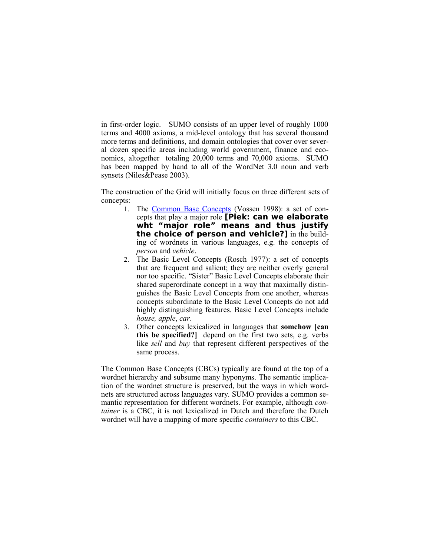in first-order logic. SUMO consists of an upper level of roughly 1000 terms and 4000 axioms, a mid-level ontology that has several thousand more terms and definitions, and domain ontologies that cover over several dozen specific areas including world government, finance and economics, altogether totaling 20,000 terms and 70,000 axioms. SUMO has been mapped by hand to all of the WordNet 3.0 noun and verb synsets (Niles&Pease 2003).

The construction of the Grid will initially focus on three different sets of concepts:

- 1. The [Common Base Concepts](http://www.globalwordnet.org/gwa/gwa_base_concepts.htm) (Vossen 1998): a set of concepts that play a major role **[Piek: can we elaborate wht "major role" means and thus justify the choice of person and vehicle?]** in the building of wordnets in various languages, e.g. the concepts of *person* and *vehicle*.
- 2. The Basic Level Concepts (Rosch 1977): a set of concepts that are frequent and salient; they are neither overly general nor too specific. "Sister" Basic Level Concepts elaborate their shared superordinate concept in a way that maximally distinguishes the Basic Level Concepts from one another, whereas concepts subordinate to the Basic Level Concepts do not add highly distinguishing features. Basic Level Concepts include *house, apple*, *car.*
- 3. Other concepts lexicalized in languages that **somehow [can this be specified?]** depend on the first two sets, e.g. verbs like *sell* and *buy* that represent different perspectives of the same process.

The Common Base Concepts (CBCs) typically are found at the top of a wordnet hierarchy and subsume many hyponyms. The semantic implication of the wordnet structure is preserved, but the ways in which wordnets are structured across languages vary. SUMO provides a common semantic representation for different wordnets. For example, although *container* is a CBC, it is not lexicalized in Dutch and therefore the Dutch wordnet will have a mapping of more specific *containers* to this CBC.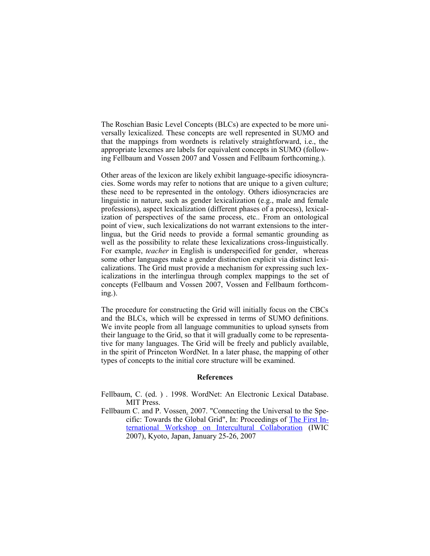The Roschian Basic Level Concepts (BLCs) are expected to be more universally lexicalized. These concepts are well represented in SUMO and that the mappings from wordnets is relatively straightforward, i.e., the appropriate lexemes are labels for equivalent concepts in SUMO (following Fellbaum and Vossen 2007 and Vossen and Fellbaum forthcoming.).

Other areas of the lexicon are likely exhibit language-specific idiosyncracies. Some words may refer to notions that are unique to a given culture; these need to be represented in the ontology. Others idiosyncracies are linguistic in nature, such as gender lexicalization (e.g., male and female professions), aspect lexicalization (different phases of a process), lexicalization of perspectives of the same process, etc.. From an ontological point of view, such lexicalizations do not warrant extensions to the interlingua, but the Grid needs to provide a formal semantic grounding as well as the possibility to relate these lexicalizations cross-linguistically. For example, *teacher* in English is underspecified for gender, whereas some other languages make a gender distinction explicit via distinct lexicalizations. The Grid must provide a mechanism for expressing such lexicalizations in the interlingua through complex mappings to the set of concepts (Fellbaum and Vossen 2007, Vossen and Fellbaum forthcoming.).

The procedure for constructing the Grid will initially focus on the CBCs and the BLCs, which will be expressed in terms of SUMO definitions. We invite people from all language communities to upload synsets from their language to the Grid, so that it will gradually come to be representative for many languages. The Grid will be freely and publicly available, in the spirit of Princeton WordNet. In a later phase, the mapping of other types of concepts to the initial core structure will be examined.

## **References**

- Fellbaum, C. (ed. ) . 1998. WordNet: An Electronic Lexical Database. MIT Press.
- Fellbaum C. and P. Vossen. 2007. "Connecting the Universal to the Specific: Towards the Global Grid", In: Proceedings of [The First In](http://langrid.nict.go.jp/iwic2007/)[ternational Workshop on Intercultural Collaboration](http://langrid.nict.go.jp/iwic2007/) (IWIC 2007), Kyoto, Japan, January 25-26, 2007